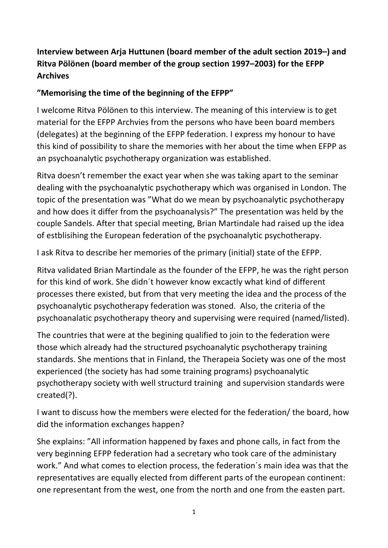## **Interview between Arja Huttunen (board member of the adult section 2019–) and Ritva Pölönen (board member of the group section 1997–2003) for the EFPP Archives**

## **"Memorising the time of the beginning of the EFPP"**

I welcome Ritva Pölönen to this interview. The meaning of this interview is to get material for the EFPP Archvies from the persons who have been board members (delegates) at the beginning of the EFPP federation. I express my honour to have this kind of possibility to share the memories with her about the time when EFPP as an psychoanalytic psychotherapy organization was established.

Ritva doesn't remember the exact year when she was taking apart to the seminar dealing with the psychoanalytic psychotherapy which was organised in London. The topic of the presentation was "What do we mean by psychoanalytic psychotherapy and how does it differ from the psychoanalysis?" The presentation was held by the couple Sandels. After that special meeting, Brian Martindale had raised up the idea of estblisihing the European federation of the psychoanalytic psychotherapy.

I ask Ritva to describe her memories of the primary (initial) state of the EFPP.

Ritva validated Brian Martindale as the founder of the EFPP, he was the right person for this kind of work. She didn´t however know excactly what kind of different processes there existed, but from that very meeting the idea and the process of the psychoanalytic psychotherapy federation was stoned. Also, the criteria of the psychoanalatic psychotherapy theory and supervising were required (named/listed).

The countries that were at the begining qualified to join to the federation were those which already had the structured psychoanalytic psychotherapy training standards. She mentions that in Finland, the Therapeia Society was one of the most experienced (the society has had some training programs) psychoanalytic psychotherapy society with well structurd training and supervision standards were created(?).

I want to discuss how the members were elected for the federation/ the board, how did the information exchanges happen?

She explains: "All information happened by faxes and phone calls, in fact from the very beginning EFPP federation had a secretary who took care of the administary work." And what comes to election process, the federation´s main idea was that the representatives are equally elected from different parts of the european continent: one representant from the west, one from the north and one from the easten part.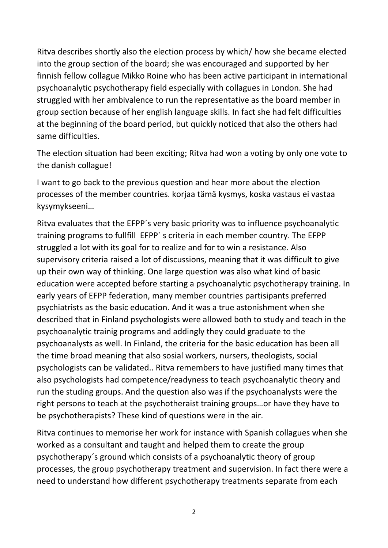Ritva describes shortly also the election process by which/ how she became elected into the group section of the board; she was encouraged and supported by her finnish fellow collague Mikko Roine who has been active participant in international psychoanalytic psychotherapy field especially with collagues in London. She had struggled with her ambivalence to run the representative as the board member in group section because of her english language skills. In fact she had felt difficulties at the beginning of the board period, but quickly noticed that also the others had same difficulties.

The election situation had been exciting; Ritva had won a voting by only one vote to the danish collague!

I want to go back to the previous question and hear more about the election processes of the member countries. korjaa tämä kysmys, koska vastaus ei vastaa kysymykseeni…

Ritva evaluates that the EFPP´s very basic priority was to influence psychoanalytic training programs to fullfill EFPP` s criteria in each member country. The EFPP struggled a lot with its goal for to realize and for to win a resistance. Also supervisory criteria raised a lot of discussions, meaning that it was difficult to give up their own way of thinking. One large question was also what kind of basic education were accepted before starting a psychoanalytic psychotherapy training. In early years of EFPP federation, many member countries partisipants preferred psychiatrists as the basic education. And it was a true astonishment when she described that in Finland psychologists were allowed both to study and teach in the psychoanalytic trainig programs and addingly they could graduate to the psychoanalysts as well. In Finland, the criteria for the basic education has been all the time broad meaning that also sosial workers, nursers, theologists, social psychologists can be validated.. Ritva remembers to have justified many times that also psychologists had competence/readyness to teach psychoanalytic theory and run the studing groups. And the question also was if the psychoanalysts were the right persons to teach at the psychotheraist training groups…or have they have to be psychotherapists? These kind of questions were in the air.

Ritva continues to memorise her work for instance with Spanish collagues when she worked as a consultant and taught and helped them to create the group psychotherapy´s ground which consists of a psychoanalytic theory of group processes, the group psychotherapy treatment and supervision. In fact there were a need to understand how different psychotherapy treatments separate from each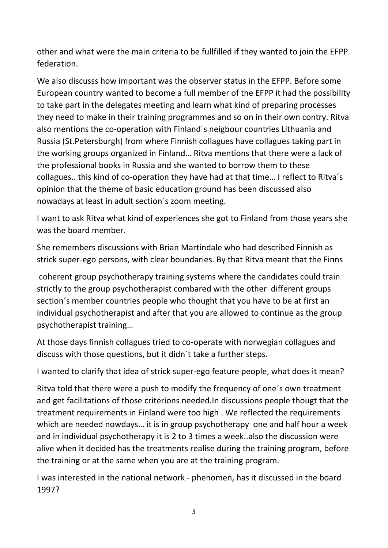other and what were the main criteria to be fullfilled if they wanted to join the EFPP federation.

We also discusss how important was the observer status in the EFPP. Before some European country wanted to become a full member of the EFPP it had the possibility to take part in the delegates meeting and learn what kind of preparing processes they need to make in their training programmes and so on in their own contry. Ritva also mentions the co-operation with Finland´s neigbour countries Lithuania and Russia (St.Petersburgh) from where Finnish collagues have collagues taking part in the working groups organized in Finland… Ritva mentions that there were a lack of the professional books in Russia and she wanted to borrow them to these collagues.. this kind of co-operation they have had at that time… I reflect to Ritva´s opinion that the theme of basic education ground has been discussed also nowadays at least in adult section´s zoom meeting.

I want to ask Ritva what kind of experiences she got to Finland from those years she was the board member.

She remembers discussions with Brian Martindale who had described Finnish as strick super-ego persons, with clear boundaries. By that Ritva meant that the Finns

coherent group psychotherapy training systems where the candidates could train strictly to the group psychotherapist combared with the other different groups section´s member countries people who thought that you have to be at first an individual psychotherapist and after that you are allowed to continue as the group psychotherapist training…

At those days finnish collagues tried to co-operate with norwegian collagues and discuss with those questions, but it didn´t take a further steps.

I wanted to clarify that idea of strick super-ego feature people, what does it mean?

Ritva told that there were a push to modify the frequency of one´s own treatment and get facilitations of those criterions needed.In discussions people thougt that the treatment requirements in Finland were too high . We reflected the requirements which are needed nowdays… it is in group psychotherapy one and half hour a week and in individual psychotherapy it is 2 to 3 times a week..also the discussion were alive when it decided has the treatments realise during the training program, before the training or at the same when you are at the training program.

I was interested in the national network - phenomen, has it discussed in the board 1997?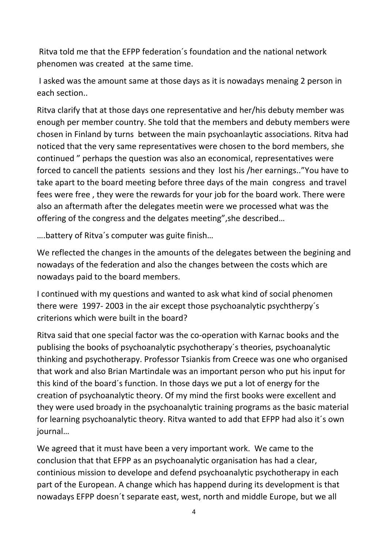Ritva told me that the EFPP federation´s foundation and the national network phenomen was created at the same time.

I asked was the amount same at those days as it is nowadays menaing 2 person in each section..

Ritva clarify that at those days one representative and her/his debuty member was enough per member country. She told that the members and debuty members were chosen in Finland by turns between the main psychoanlaytic associations. Ritva had noticed that the very same representatives were chosen to the bord members, she continued " perhaps the question was also an economical, representatives were forced to cancell the patients sessions and they lost his /her earnings.."You have to take apart to the board meeting before three days of the main congress and travel fees were free , they were the rewards for your job for the board work. There were also an aftermath after the delegates meetin were we processed what was the offering of the congress and the delgates meeting",she described…

….battery of Ritva´s computer was guite finish…

We reflected the changes in the amounts of the delegates between the begining and nowadays of the federation and also the changes between the costs which are nowadays paid to the board members.

I continued with my questions and wanted to ask what kind of social phenomen there were 1997- 2003 in the air except those psychoanalytic psychtherpy´s criterions which were built in the board?

Ritva said that one special factor was the co-operation with Karnac books and the publising the books of psychoanalytic psychotherapy´s theories, psychoanalytic thinking and psychotherapy. Professor Tsiankis from Creece was one who organised that work and also Brian Martindale was an important person who put his input for this kind of the board´s function. In those days we put a lot of energy for the creation of psychoanalytic theory. Of my mind the first books were excellent and they were used broady in the psychoanalytic training programs as the basic material for learning psychoanalytic theory. Ritva wanted to add that EFPP had also it´s own journal…

We agreed that it must have been a very important work. We came to the conclusion that that EFPP as an psychoanalytic organisation has had a clear, continious mission to develope and defend psychoanalytic psychotherapy in each part of the European. A change which has happend during its development is that nowadays EFPP doesn´t separate east, west, north and middle Europe, but we all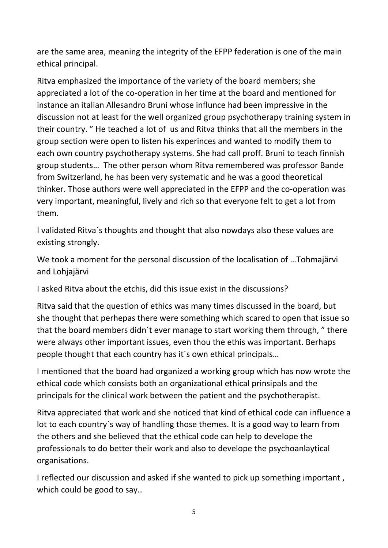are the same area, meaning the integrity of the EFPP federation is one of the main ethical principal.

Ritva emphasized the importance of the variety of the board members; she appreciated a lot of the co-operation in her time at the board and mentioned for instance an italian Allesandro Bruni whose influnce had been impressive in the discussion not at least for the well organized group psychotherapy training system in their country. " He teached a lot of us and Ritva thinks that all the members in the group section were open to listen his experinces and wanted to modify them to each own country psychotherapy systems. She had call proff. Bruni to teach finnish group students… The other person whom Ritva remembered was professor Bande from Switzerland, he has been very systematic and he was a good theoretical thinker. Those authors were well appreciated in the EFPP and the co-operation was very important, meaningful, lively and rich so that everyone felt to get a lot from them.

I validated Ritva´s thoughts and thought that also nowdays also these values are existing strongly.

We took a moment for the personal discussion of the localisation of …Tohmajärvi and Lohjajärvi

I asked Ritva about the etchis, did this issue exist in the discussions?

Ritva said that the question of ethics was many times discussed in the board, but she thought that perhepas there were something which scared to open that issue so that the board members didn´t ever manage to start working them through, " there were always other important issues, even thou the ethis was important. Berhaps people thought that each country has it´s own ethical principals…

I mentioned that the board had organized a working group which has now wrote the ethical code which consists both an organizational ethical prinsipals and the principals for the clinical work between the patient and the psychotherapist.

Ritva appreciated that work and she noticed that kind of ethical code can influence a lot to each country´s way of handling those themes. It is a good way to learn from the others and she believed that the ethical code can help to develope the professionals to do better their work and also to develope the psychoanlaytical organisations.

I reflected our discussion and asked if she wanted to pick up something important , which could be good to say..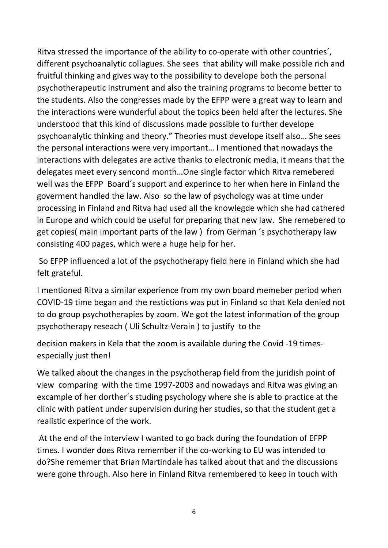Ritva stressed the importance of the ability to co-operate with other countries´, different psychoanalytic collagues. She sees that ability will make possible rich and fruitful thinking and gives way to the possibility to develope both the personal psychotherapeutic instrument and also the training programs to become better to the students. Also the congresses made by the EFPP were a great way to learn and the interactions were wunderful about the topics been held after the lectures. She understood that this kind of discussions made possible to further develope psychoanalytic thinking and theory." Theories must develope itself also… She sees the personal interactions were very important… I mentioned that nowadays the interactions with delegates are active thanks to electronic media, it means that the delegates meet every sencond month…One single factor which Ritva remebered well was the EFPP Board´s support and experince to her when here in Finland the goverment handled the law. Also so the law of psychology was at time under processing in Finland and Ritva had used all the knowlegde which she had cathered in Europe and which could be useful for preparing that new law. She remebered to get copies( main important parts of the law ) from German ´s psychotherapy law consisting 400 pages, which were a huge help for her.

So EFPP influenced a lot of the psychotherapy field here in Finland which she had felt grateful.

I mentioned Ritva a similar experience from my own board memeber period when COVID-19 time began and the restictions was put in Finland so that Kela denied not to do group psychotherapies by zoom. We got the latest information of the group psychotherapy reseach ( Uli Schultz-Verain ) to justify to the

decision makers in Kela that the zoom is available during the Covid -19 timesespecially just then!

We talked about the changes in the psychotherap field from the juridish point of view comparing with the time 1997-2003 and nowadays and Ritva was giving an excample of her dorther´s studing psychology where she is able to practice at the clinic with patient under supervision during her studies, so that the student get a realistic experince of the work.

At the end of the interview I wanted to go back during the foundation of EFPP times. I wonder does Ritva remember if the co-working to EU was intended to do?She rememer that Brian Martindale has talked about that and the discussions were gone through. Also here in Finland Ritva remembered to keep in touch with